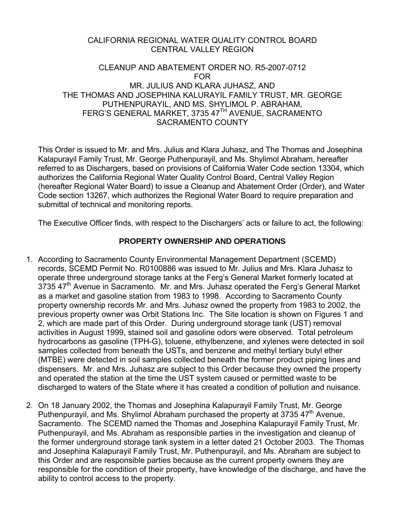#### CALIFORNIA REGIONAL WATER QUALITY CONTROL BOARD CENTRAL VALLEY REGION

#### CLEANUP AND ABATEMENT ORDER NO. R5-2007-0712 FOR MR. JULIUS AND KLARA JUHASZ, AND THE THOMAS AND JOSEPHINA KALURAYIL FAMILY TRUST, MR. GEORGE PUTHENPURAYIL, AND MS. SHYLIMOL P. ABRAHAM, FERG'S GENERAL MARKET, 3735 47<sup>TH</sup> AVENUE, SACRAMENTO SACRAMENTO COUNTY

This Order is issued to Mr. and Mrs. Julius and Klara Juhasz, and The Thomas and Josephina Kalapurayil Family Trust, Mr. George Puthenpurayil, and Ms. Shylimol Abraham, hereafter referred to as Dischargers, based on provisions of California Water Code section 13304, which authorizes the California Regional Water Quality Control Board, Central Valley Region (hereafter Regional Water Board) to issue a Cleanup and Abatement Order (Order), and Water Code section 13267, which authorizes the Regional Water Board to require preparation and submittal of technical and monitoring reports.

The Executive Officer finds, with respect to the Dischargers' acts or failure to act, the following:

#### **PROPERTY OWNERSHIP AND OPERATIONS**

- 1. According to Sacramento County Environmental Management Department (SCEMD) records, SCEMD Permit No. R0100886 was issued to Mr. Julius and Mrs. Klara Juhasz to operate three underground storage tanks at the Ferg's General Market formerly located at 3735 47<sup>th</sup> Avenue in Sacramento. Mr. and Mrs. Juhasz operated the Ferg's General Market as a market and gasoline station from 1983 to 1998. According to Sacramento County property ownership records Mr. and Mrs. Juhasz owned the property from 1983 to 2002, the previous property owner was Orbit Stations Inc. The Site location is shown on Figures 1 and 2, which are made part of this Order. During underground storage tank (UST) removal activities in August 1999, stained soil and gasoline odors were observed. Total petroleum hydrocarbons as gasoline (TPH-G), toluene, ethylbenzene, and xylenes were detected in soil samples collected from beneath the USTs, and benzene and methyl tertiary butyl ether (MTBE) were detected in soil samples collected beneath the former product piping lines and dispensers. Mr. and Mrs. Juhasz are subject to this Order because they owned the property and operated the station at the time the UST system caused or permitted waste to be discharged to waters of the State where it has created a condition of pollution and nuisance.
- 2. On 18 January 2002, the Thomas and Josephina Kalapurayil Family Trust, Mr. George Puthenpurayil, and Ms. Shylimol Abraham purchased the property at 3735  $47<sup>th</sup>$  Avenue, Sacramento. The SCEMD named the Thomas and Josephina Kalapurayil Family Trust, Mr. Puthenpurayil, and Ms. Abraham as responsible parties in the investigation and cleanup of the former underground storage tank system in a letter dated 21 October 2003. The Thomas and Josephina Kalapurayil Family Trust, Mr. Puthenpurayil, and Ms. Abraham are subject to this Order and are responsible parties because as the current property owners they are responsible for the condition of their property, have knowledge of the discharge, and have the ability to control access to the property.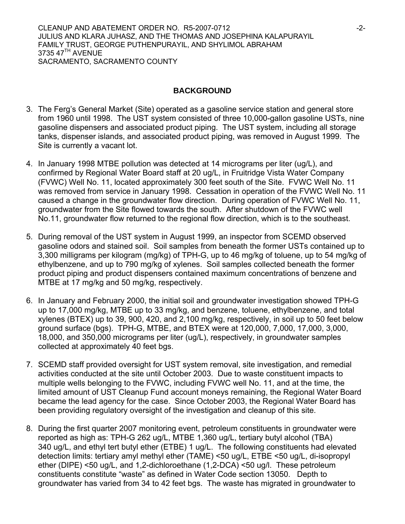CLEANUP AND ABATEMENT ORDER NO. R5-2007-0712 **-2-** -2-JULIUS AND KLARA JUHASZ, AND THE THOMAS AND JOSEPHINA KALAPURAYIL FAMILY TRUST, GEORGE PUTHENPURAYIL, AND SHYLIMOL ABRAHAM 3735 47<sup>TH</sup> AVENUE SACRAMENTO, SACRAMENTO COUNTY

### **BACKGROUND**

- 3. The Ferg's General Market (Site) operated as a gasoline service station and general store from 1960 until 1998. The UST system consisted of three 10,000-gallon gasoline USTs, nine gasoline dispensers and associated product piping. The UST system, including all storage tanks, dispenser islands, and associated product piping, was removed in August 1999. The Site is currently a vacant lot.
- 4. In January 1998 MTBE pollution was detected at 14 micrograms per liter (ug/L), and confirmed by Regional Water Board staff at 20 ug/L, in Fruitridge Vista Water Company (FVWC) Well No. 11, located approximately 300 feet south of the Site. FVWC Well No. 11 was removed from service in January 1998. Cessation in operation of the FVWC Well No. 11 caused a change in the groundwater flow direction. During operation of FVWC Well No. 11, groundwater from the Site flowed towards the south. After shutdown of the FVWC well No.11, groundwater flow returned to the regional flow direction, which is to the southeast.
- 5. During removal of the UST system in August 1999, an inspector from SCEMD observed gasoline odors and stained soil. Soil samples from beneath the former USTs contained up to 3,300 milligrams per kilogram (mg/kg) of TPH-G, up to 46 mg/kg of toluene, up to 54 mg/kg of ethylbenzene, and up to 790 mg/kg of xylenes. Soil samples collected beneath the former product piping and product dispensers contained maximum concentrations of benzene and MTBE at 17 mg/kg and 50 mg/kg, respectively.
- 6. In January and February 2000, the initial soil and groundwater investigation showed TPH-G up to 17,000 mg/kg, MTBE up to 33 mg/kg, and benzene, toluene, ethylbenzene, and total xylenes (BTEX) up to 39, 900, 420, and 2,100 mg/kg, respectively, in soil up to 50 feet below ground surface (bgs). TPH-G, MTBE, and BTEX were at 120,000, 7,000, 17,000, 3,000, 18,000, and 350,000 micrograms per liter (ug/L), respectively, in groundwater samples collected at approximately 40 feet bgs.
- 7. SCEMD staff provided oversight for UST system removal, site investigation, and remedial activities conducted at the site until October 2003. Due to waste constituent impacts to multiple wells belonging to the FVWC, including FVWC well No. 11, and at the time, the limited amount of UST Cleanup Fund account moneys remaining, the Regional Water Board became the lead agency for the case. Since October 2003, the Regional Water Board has been providing regulatory oversight of the investigation and cleanup of this site.
- 8. During the first quarter 2007 monitoring event, petroleum constituents in groundwater were reported as high as: TPH-G 262 ug/L, MTBE 1,360 ug/L, tertiary butyl alcohol (TBA) 340 ug/L, and ethyl tert butyl ether (ETBE) 1 ug/L. The following constituents had elevated detection limits: tertiary amyl methyl ether (TAME) <50 ug/L, ETBE <50 ug/L, di-isopropyl ether (DIPE) <50 ug/L, and 1,2-dichloroethane (1,2-DCA) <50 ug/l. These petroleum constituents constitute "waste" as defined in Water Code section 13050. Depth to groundwater has varied from 34 to 42 feet bgs. The waste has migrated in groundwater to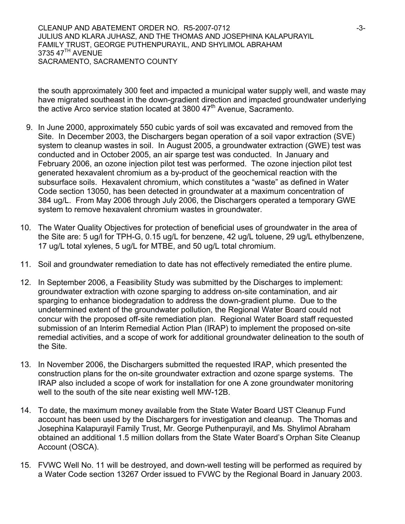CLEANUP AND ABATEMENT ORDER NO. R5-2007-0712 **-3-**3-3-3-3-3-3-3-3-3-3-3-3-3-3-3-3-JULIUS AND KLARA JUHASZ, AND THE THOMAS AND JOSEPHINA KALAPURAYIL FAMILY TRUST, GEORGE PUTHENPURAYIL, AND SHYLIMOL ABRAHAM 3735 47<sup>TH</sup> AVENUE SACRAMENTO, SACRAMENTO COUNTY

the south approximately 300 feet and impacted a municipal water supply well, and waste may have migrated southeast in the down-gradient direction and impacted groundwater underlying the active Arco service station located at 3800  $47<sup>th</sup>$  Avenue, Sacramento.

- 9. In June 2000, approximately 550 cubic yards of soil was excavated and removed from the Site. In December 2003, the Dischargers began operation of a soil vapor extraction (SVE) system to cleanup wastes in soil. In August 2005, a groundwater extraction (GWE) test was conducted and in October 2005, an air sparge test was conducted. In January and February 2006, an ozone injection pilot test was performed. The ozone injection pilot test generated hexavalent chromium as a by-product of the geochemical reaction with the subsurface soils. Hexavalent chromium, which constitutes a "waste" as defined in Water Code section 13050, has been detected in groundwater at a maximum concentration of 384 ug/L. From May 2006 through July 2006, the Dischargers operated a temporary GWE system to remove hexavalent chromium wastes in groundwater.
- 10. The Water Quality Objectives for protection of beneficial uses of groundwater in the area of the Site are: 5 ug/l for TPH-G, 0.15 ug/L for benzene, 42 ug/L toluene, 29 ug/L ethylbenzene, 17 ug/L total xylenes, 5 ug/L for MTBE, and 50 ug/L total chromium.
- 11. Soil and groundwater remediation to date has not effectively remediated the entire plume.
- 12. In September 2006, a Feasibility Study was submitted by the Discharges to implement: groundwater extraction with ozone sparging to address on-site contamination, and air sparging to enhance biodegradation to address the down-gradient plume. Due to the undetermined extent of the groundwater pollution, the Regional Water Board could not concur with the proposed off-site remediation plan. Regional Water Board staff requested submission of an Interim Remedial Action Plan (IRAP) to implement the proposed on-site remedial activities, and a scope of work for additional groundwater delineation to the south of the Site.
- 13. In November 2006, the Dischargers submitted the requested IRAP, which presented the construction plans for the on-site groundwater extraction and ozone sparge systems. The IRAP also included a scope of work for installation for one A zone groundwater monitoring well to the south of the site near existing well MW-12B.
- 14. To date, the maximum money available from the State Water Board UST Cleanup Fund account has been used by the Dischargers for investigation and cleanup. The Thomas and Josephina Kalapurayil Family Trust, Mr. George Puthenpurayil, and Ms. Shylimol Abraham obtained an additional 1.5 million dollars from the State Water Board's Orphan Site Cleanup Account (OSCA).
- 15. FVWC Well No. 11 will be destroyed, and down-well testing will be performed as required by a Water Code section 13267 Order issued to FVWC by the Regional Board in January 2003.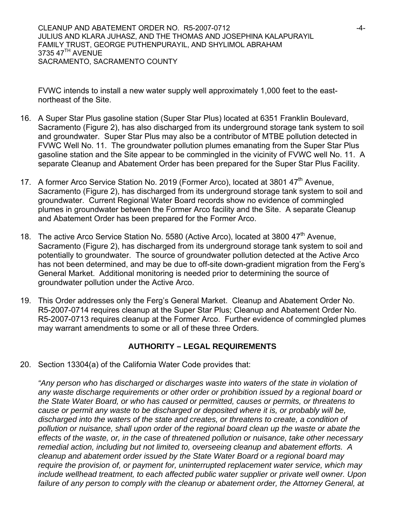FVWC intends to install a new water supply well approximately 1,000 feet to the eastnortheast of the Site.

- 16. A Super Star Plus gasoline station (Super Star Plus) located at 6351 Franklin Boulevard, Sacramento (Figure 2), has also discharged from its underground storage tank system to soil and groundwater. Super Star Plus may also be a contributor of MTBE pollution detected in FVWC Well No. 11. The groundwater pollution plumes emanating from the Super Star Plus gasoline station and the Site appear to be commingled in the vicinity of FVWC well No. 11. A separate Cleanup and Abatement Order has been prepared for the Super Star Plus Facility.
- 17. A former Arco Service Station No. 2019 (Former Arco), located at 3801 47<sup>th</sup> Avenue, Sacramento (Figure 2), has discharged from its underground storage tank system to soil and groundwater. Current Regional Water Board records show no evidence of commingled plumes in groundwater between the Former Arco facility and the Site. A separate Cleanup and Abatement Order has been prepared for the Former Arco.
- 18. The active Arco Service Station No. 5580 (Active Arco), located at 3800  $47<sup>th</sup>$  Avenue, Sacramento (Figure 2), has discharged from its underground storage tank system to soil and potentially to groundwater. The source of groundwater pollution detected at the Active Arco has not been determined, and may be due to off-site down-gradient migration from the Ferg's General Market. Additional monitoring is needed prior to determining the source of groundwater pollution under the Active Arco.
- 19. This Order addresses only the Ferg's General Market. Cleanup and Abatement Order No. R5-2007-0714 requires cleanup at the Super Star Plus; Cleanup and Abatement Order No. R5-2007-0713 requires cleanup at the Former Arco. Further evidence of commingled plumes may warrant amendments to some or all of these three Orders.

# **AUTHORITY – LEGAL REQUIREMENTS**

20. Section 13304(a) of the California Water Code provides that:

*"Any person who has discharged or discharges waste into waters of the state in violation of any waste discharge requirements or other order or prohibition issued by a regional board or the State Water Board, or who has caused or permitted, causes or permits, or threatens to cause or permit any waste to be discharged or deposited where it is, or probably will be, discharged into the waters of the state and creates, or threatens to create, a condition of pollution or nuisance, shall upon order of the regional board clean up the waste or abate the effects of the waste, or, in the case of threatened pollution or nuisance, take other necessary remedial action, including but not limited to, overseeing cleanup and abatement efforts. A cleanup and abatement order issued by the State Water Board or a regional board may require the provision of, or payment for, uninterrupted replacement water service, which may include wellhead treatment, to each affected public water supplier or private well owner. Upon*  failure of any person to comply with the cleanup or abatement order, the Attorney General, at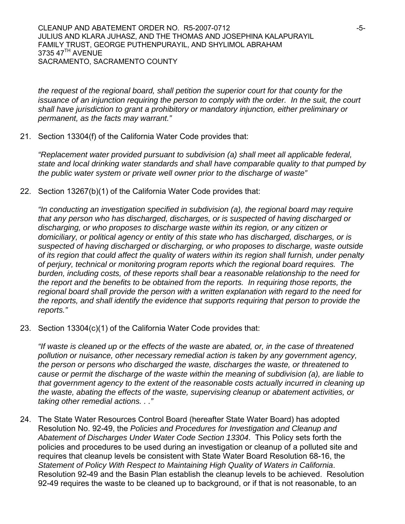*the request of the regional board, shall petition the superior court for that county for the issuance of an injunction requiring the person to comply with the order. In the suit, the court shall have jurisdiction to grant a prohibitory or mandatory injunction, either preliminary or permanent, as the facts may warrant."* 

21. Section 13304(f) of the California Water Code provides that:

*"Replacement water provided pursuant to subdivision (a) shall meet all applicable federal, state and local drinking water standards and shall have comparable quality to that pumped by the public water system or private well owner prior to the discharge of waste"* 

22. Section 13267(b)(1) of the California Water Code provides that:

*"In conducting an investigation specified in subdivision (a), the regional board may require that any person who has discharged, discharges, or is suspected of having discharged or discharging, or who proposes to discharge waste within its region, or any citizen or domiciliary, or political agency or entity of this state who has discharged, discharges, or is suspected of having discharged or discharging, or who proposes to discharge, waste outside of its region that could affect the quality of waters within its region shall furnish, under penalty of perjury, technical or monitoring program reports which the regional board requires. The burden, including costs, of these reports shall bear a reasonable relationship to the need for the report and the benefits to be obtained from the reports. In requiring those reports, the regional board shall provide the person with a written explanation with regard to the need for the reports, and shall identify the evidence that supports requiring that person to provide the reports."* 

23. Section 13304(c)(1) of the California Water Code provides that:

*"If waste is cleaned up or the effects of the waste are abated, or, in the case of threatened pollution or nuisance, other necessary remedial action is taken by any government agency, the person or persons who discharged the waste, discharges the waste, or threatened to cause or permit the discharge of the waste within the meaning of subdivision (a), are liable to that government agency to the extent of the reasonable costs actually incurred in cleaning up the waste, abating the effects of the waste, supervising cleanup or abatement activities, or taking other remedial actions. . ."* 

24. The State Water Resources Control Board (hereafter State Water Board) has adopted Resolution No. 92-49, the *Policies and Procedures for Investigation and Cleanup and Abatement of Discharges Under Water Code Section 13304*. This Policy sets forth the policies and procedures to be used during an investigation or cleanup of a polluted site and requires that cleanup levels be consistent with State Water Board Resolution 68-16, the *Statement of Policy With Respect to Maintaining High Quality of Waters in California*. Resolution 92-49 and the Basin Plan establish the cleanup levels to be achieved. Resolution 92-49 requires the waste to be cleaned up to background, or if that is not reasonable, to an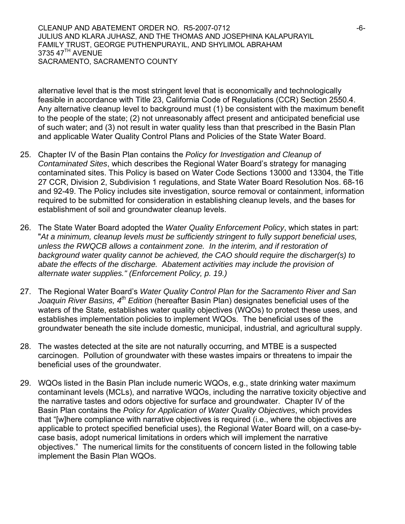CLEANUP AND ABATEMENT ORDER NO. R5-2007-0712 **-6-** -6-JULIUS AND KLARA JUHASZ, AND THE THOMAS AND JOSEPHINA KALAPURAYIL FAMILY TRUST, GEORGE PUTHENPURAYIL, AND SHYLIMOL ABRAHAM 3735 47<sup>TH</sup> AVENUE SACRAMENTO, SACRAMENTO COUNTY

alternative level that is the most stringent level that is economically and technologically feasible in accordance with Title 23, California Code of Regulations (CCR) Section 2550.4. Any alternative cleanup level to background must (1) be consistent with the maximum benefit to the people of the state; (2) not unreasonably affect present and anticipated beneficial use of such water; and (3) not result in water quality less than that prescribed in the Basin Plan and applicable Water Quality Control Plans and Policies of the State Water Board.

- 25. Chapter IV of the Basin Plan contains the *Policy for Investigation and Cleanup of Contaminated Sites*, which describes the Regional Water Board's strategy for managing contaminated sites. This Policy is based on Water Code Sections 13000 and 13304, the Title 27 CCR, Division 2, Subdivision 1 regulations, and State Water Board Resolution Nos. 68-16 and 92-49. The Policy includes site investigation, source removal or containment, information required to be submitted for consideration in establishing cleanup levels, and the bases for establishment of soil and groundwater cleanup levels.
- 26. The State Water Board adopted the *Water Quality Enforcement Policy*, which states in part: "*At a minimum, cleanup levels must be sufficiently stringent to fully support beneficial uses, unless the RWQCB allows a containment zone. In the interim, and if restoration of background water quality cannot be achieved, the CAO should require the discharger(s) to abate the effects of the discharge. Abatement activities may include the provision of alternate water supplies." (Enforcement Policy, p. 19.)*
- 27. The Regional Water Board's *Water Quality Control Plan for the Sacramento River and San Joaquin River Basins, 4th Edition* (hereafter Basin Plan) designates beneficial uses of the waters of the State, establishes water quality objectives (WQOs) to protect these uses, and establishes implementation policies to implement WQOs. The beneficial uses of the groundwater beneath the site include domestic, municipal, industrial, and agricultural supply.
- 28. The wastes detected at the site are not naturally occurring, and MTBE is a suspected carcinogen. Pollution of groundwater with these wastes impairs or threatens to impair the beneficial uses of the groundwater.
- 29. WQOs listed in the Basin Plan include numeric WQOs, e.g., state drinking water maximum contaminant levels (MCLs), and narrative WQOs, including the narrative toxicity objective and the narrative tastes and odors objective for surface and groundwater. Chapter IV of the Basin Plan contains the *Policy for Application of Water Quality Objectives*, which provides that "[w]here compliance with narrative objectives is required (i.e., where the objectives are applicable to protect specified beneficial uses), the Regional Water Board will, on a case-bycase basis, adopt numerical limitations in orders which will implement the narrative objectives." The numerical limits for the constituents of concern listed in the following table implement the Basin Plan WQOs.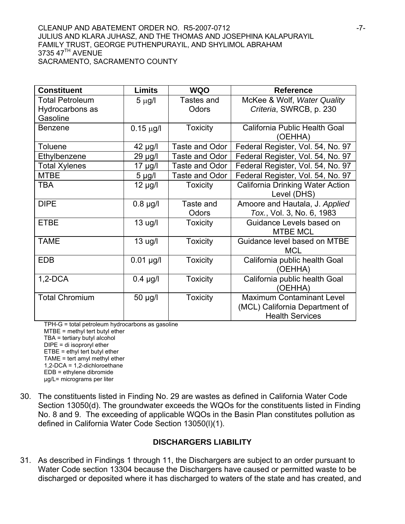#### CLEANUP AND ABATEMENT ORDER NO. R5-2007-0712 **-7-**JULIUS AND KLARA JUHASZ, AND THE THOMAS AND JOSEPHINA KALAPURAYIL FAMILY TRUST, GEORGE PUTHENPURAYIL, AND SHYLIMOL ABRAHAM 3735 47<sup>TH</sup> AVENUE SACRAMENTO, SACRAMENTO COUNTY

| <b>Constituent</b>     | <b>Limits</b>  | <b>WQO</b>            | <b>Reference</b>                  |
|------------------------|----------------|-----------------------|-----------------------------------|
| <b>Total Petroleum</b> | $5 \mu g/l$    | Tastes and            | McKee & Wolf, Water Quality       |
| Hydrocarbons as        |                | Odors                 | Criteria, SWRCB, p. 230           |
| Gasoline               |                |                       |                                   |
| <b>Benzene</b>         | $0.15 \mu g/l$ | <b>Toxicity</b>       | California Public Health Goal     |
|                        |                |                       | (OEHHA)                           |
| <b>Toluene</b>         | 42 µg/l        | Taste and Odor        | Federal Register, Vol. 54, No. 97 |
| Ethylbenzene           | 29 µg/l        | Taste and Odor        | Federal Register, Vol. 54, No. 97 |
| <b>Total Xylenes</b>   | $17 \mu g/l$   | <b>Taste and Odor</b> | Federal Register, Vol. 54, No. 97 |
| <b>MTBE</b>            | $5 \mu g/l$    | Taste and Odor        | Federal Register, Vol. 54, No. 97 |
| TBA                    | $12 \mu g/l$   | <b>Toxicity</b>       | California Drinking Water Action  |
|                        |                |                       | Level (DHS)                       |
| <b>DIPE</b>            | $0.8$ µg/l     | Taste and             | Amoore and Hautala, J. Applied    |
|                        |                | Odors                 | Tox., Vol. 3, No. 6, 1983         |
| <b>ETBE</b>            | $13$ ug/l      | <b>Toxicity</b>       | Guidance Levels based on          |
|                        |                |                       | <b>MTBE MCL</b>                   |
| TAME                   | $13$ ug/l      | <b>Toxicity</b>       | Guidance level based on MTBE      |
|                        |                |                       | <b>MCL</b>                        |
| <b>EDB</b>             | $0.01$ µg/l    | <b>Toxicity</b>       | California public health Goal     |
|                        |                |                       | (OEHHA)                           |
| $1,2-DCA$              | $0.4 \mu g/l$  | <b>Toxicity</b>       | California public health Goal     |
|                        |                |                       | (OEHHA)                           |
| <b>Total Chromium</b>  | 50 µg/l        | <b>Toxicity</b>       | <b>Maximum Contaminant Level</b>  |
|                        |                |                       | (MCL) California Department of    |
|                        |                |                       | <b>Health Services</b>            |

TPH-G = total petroleum hydrocarbons as gasoline

MTBE = methyl tert butyl ether TBA = tertiary butyl alcohol DIPE = di isoproryl ether ETBE = ethyl tert butyl ether TAME = tert amyl methyl ether 1,2-DCA = 1,2-dichloroethane EDB = ethylene dibromide

μg/L= micrograms per liter

30. The constituents listed in Finding No. 29 are wastes as defined in California Water Code Section 13050(d). The groundwater exceeds the WQOs for the constituents listed in Finding No. 8 and 9. The exceeding of applicable WQOs in the Basin Plan constitutes pollution as defined in California Water Code Section 13050(l)(1).

### **DISCHARGERS LIABILITY**

31. As described in Findings 1 through 11, the Dischargers are subject to an order pursuant to Water Code section 13304 because the Dischargers have caused or permitted waste to be discharged or deposited where it has discharged to waters of the state and has created, and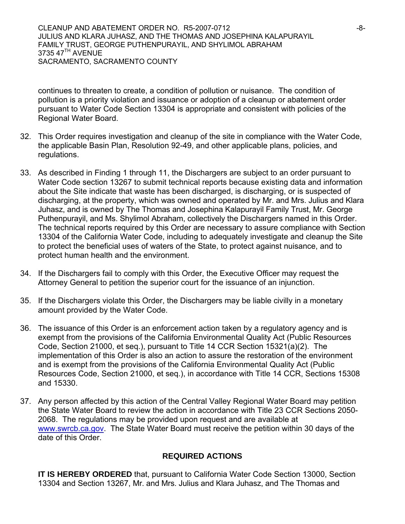CLEANUP AND ABATEMENT ORDER NO. R5-2007-0712 **-8-2007-0712** JULIUS AND KLARA JUHASZ, AND THE THOMAS AND JOSEPHINA KALAPURAYIL FAMILY TRUST, GEORGE PUTHENPURAYIL, AND SHYLIMOL ABRAHAM 3735 47<sup>TH</sup> AVENUE SACRAMENTO, SACRAMENTO COUNTY

continues to threaten to create, a condition of pollution or nuisance. The condition of pollution is a priority violation and issuance or adoption of a cleanup or abatement order pursuant to Water Code Section 13304 is appropriate and consistent with policies of the Regional Water Board.

- 32. This Order requires investigation and cleanup of the site in compliance with the Water Code, the applicable Basin Plan, Resolution 92-49, and other applicable plans, policies, and regulations.
- 33. As described in Finding 1 through 11, the Dischargers are subject to an order pursuant to Water Code section 13267 to submit technical reports because existing data and information about the Site indicate that waste has been discharged, is discharging, or is suspected of discharging, at the property, which was owned and operated by Mr. and Mrs. Julius and Klara Juhasz, and is owned by The Thomas and Josephina Kalapurayil Family Trust, Mr. George Puthenpurayil, and Ms. Shylimol Abraham, collectively the Dischargers named in this Order. The technical reports required by this Order are necessary to assure compliance with Section 13304 of the California Water Code, including to adequately investigate and cleanup the Site to protect the beneficial uses of waters of the State, to protect against nuisance, and to protect human health and the environment.
- 34. If the Dischargers fail to comply with this Order, the Executive Officer may request the Attorney General to petition the superior court for the issuance of an injunction.
- 35. If the Dischargers violate this Order, the Dischargers may be liable civilly in a monetary amount provided by the Water Code.
- 36. The issuance of this Order is an enforcement action taken by a regulatory agency and is exempt from the provisions of the California Environmental Quality Act (Public Resources Code, Section 21000, et seq.), pursuant to Title 14 CCR Section 15321(a)(2). The implementation of this Order is also an action to assure the restoration of the environment and is exempt from the provisions of the California Environmental Quality Act (Public Resources Code, Section 21000, et seq.), in accordance with Title 14 CCR, Sections 15308 and 15330.
- 37. Any person affected by this action of the Central Valley Regional Water Board may petition the State Water Board to review the action in accordance with Title 23 CCR Sections 2050- 2068. The regulations may be provided upon request and are available at [www.swrcb.ca.gov.](http://www.swrcb.ca.gov/) The State Water Board must receive the petition within 30 days of the date of this Order.

### **REQUIRED ACTIONS**

**IT IS HEREBY ORDERED** that, pursuant to California Water Code Section 13000, Section 13304 and Section 13267, Mr. and Mrs. Julius and Klara Juhasz, and The Thomas and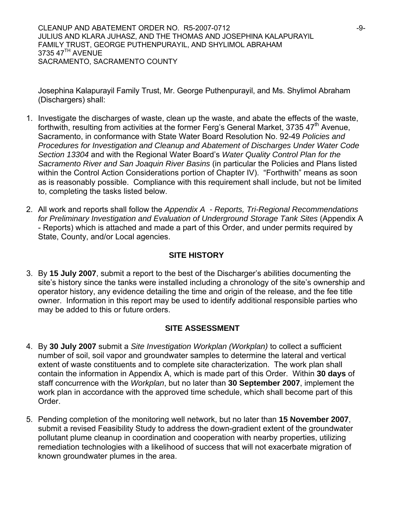CLEANUP AND ABATEMENT ORDER NO. R5-2007-0712 **-9-** -9-JULIUS AND KLARA JUHASZ, AND THE THOMAS AND JOSEPHINA KALAPURAYIL FAMILY TRUST, GEORGE PUTHENPURAYIL, AND SHYLIMOL ABRAHAM 3735 47<sup>TH</sup> AVENUE SACRAMENTO, SACRAMENTO COUNTY

Josephina Kalapurayil Family Trust, Mr. George Puthenpurayil, and Ms. Shylimol Abraham (Dischargers) shall:

- 1. Investigate the discharges of waste, clean up the waste, and abate the effects of the waste, forthwith, resulting from activities at the former Ferg's General Market, 3735  $47<sup>th</sup>$  Avenue, Sacramento, in conformance with State Water Board Resolution No. 92-49 *Policies and Procedures for Investigation and Cleanup and Abatement of Discharges Under Water Code Section 13304* and with the Regional Water Board's *Water Quality Control Plan for the Sacramento River and San Joaquin River Basins* (in particular the Policies and Plans listed within the Control Action Considerations portion of Chapter IV). "Forthwith" means as soon as is reasonably possible. Compliance with this requirement shall include, but not be limited to, completing the tasks listed below.
- 2. All work and reports shall follow the *Appendix A Reports, Tri-Regional Recommendations for Preliminary Investigation and Evaluation of Underground Storage Tank Sites* (Appendix A - Reports) which is attached and made a part of this Order, and under permits required by State, County, and/or Local agencies.

### **SITE HISTORY**

3. By **15 July 2007**, submit a report to the best of the Discharger's abilities documenting the site's history since the tanks were installed including a chronology of the site's ownership and operator history, any evidence detailing the time and origin of the release, and the fee title owner. Information in this report may be used to identify additional responsible parties who may be added to this or future orders.

### **SITE ASSESSMENT**

- 4. By **30 July 2007** submit a *Site Investigation Workplan (Workplan)* to collect a sufficient number of soil, soil vapor and groundwater samples to determine the lateral and vertical extent of waste constituents and to complete site characterization. The work plan shall contain the information in Appendix A, which is made part of this Order. Within **30 days** of staff concurrence with the *Workplan*, but no later than **30 September 2007**, implement the work plan in accordance with the approved time schedule, which shall become part of this Order.
- 5. Pending completion of the monitoring well network, but no later than **15 November 2007**, submit a revised Feasibility Study to address the down-gradient extent of the groundwater pollutant plume cleanup in coordination and cooperation with nearby properties, utilizing remediation technologies with a likelihood of success that will not exacerbate migration of known groundwater plumes in the area.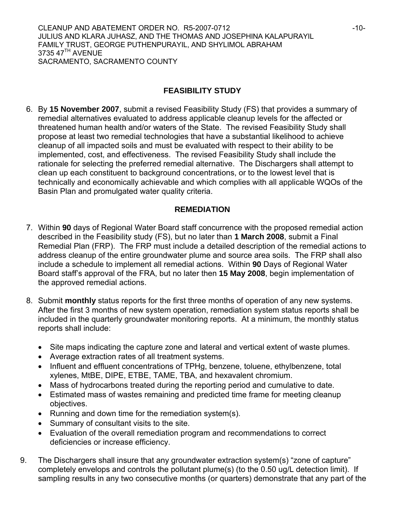## **FEASIBILITY STUDY**

6. By **15 November 2007**, submit a revised Feasibility Study (FS) that provides a summary of remedial alternatives evaluated to address applicable cleanup levels for the affected or threatened human health and/or waters of the State. The revised Feasibility Study shall propose at least two remedial technologies that have a substantial likelihood to achieve cleanup of all impacted soils and must be evaluated with respect to their ability to be implemented, cost, and effectiveness. The revised Feasibility Study shall include the rationale for selecting the preferred remedial alternative. The Dischargers shall attempt to clean up each constituent to background concentrations, or to the lowest level that is technically and economically achievable and which complies with all applicable WQOs of the Basin Plan and promulgated water quality criteria.

### **REMEDIATION**

- 7. Within **90** days of Regional Water Board staff concurrence with the proposed remedial action described in the Feasibility study (FS), but no later than **1 March 2008**, submit a Final Remedial Plan (FRP). The FRP must include a detailed description of the remedial actions to address cleanup of the entire groundwater plume and source area soils. The FRP shall also include a schedule to implement all remedial actions. Within **90** Days of Regional Water Board staff's approval of the FRA, but no later then **15 May 2008**, begin implementation of the approved remedial actions.
- 8. Submit **monthly** status reports for the first three months of operation of any new systems. After the first 3 months of new system operation, remediation system status reports shall be included in the quarterly groundwater monitoring reports. At a minimum, the monthly status reports shall include:
	- Site maps indicating the capture zone and lateral and vertical extent of waste plumes.
	- Average extraction rates of all treatment systems.
	- Influent and effluent concentrations of TPHg, benzene, toluene, ethylbenzene, total xylenes, MtBE, DIPE, ETBE, TAME, TBA, and hexavalent chromium.
	- Mass of hydrocarbons treated during the reporting period and cumulative to date.
	- Estimated mass of wastes remaining and predicted time frame for meeting cleanup objectives.
	- Running and down time for the remediation system(s).
	- Summary of consultant visits to the site.
	- Evaluation of the overall remediation program and recommendations to correct deficiencies or increase efficiency.
- 9. The Dischargers shall insure that any groundwater extraction system(s) "zone of capture" completely envelops and controls the pollutant plume(s) (to the 0.50 ug/L detection limit). If sampling results in any two consecutive months (or quarters) demonstrate that any part of the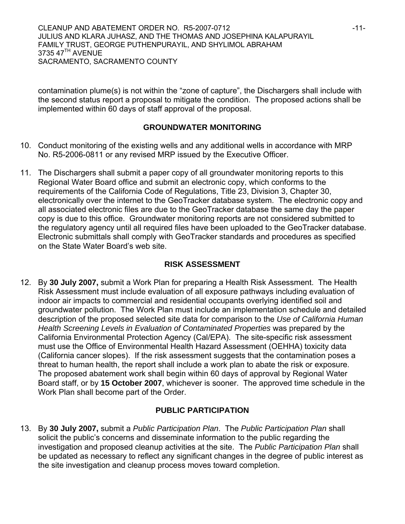contamination plume(s) is not within the "zone of capture", the Dischargers shall include with the second status report a proposal to mitigate the condition. The proposed actions shall be implemented within 60 days of staff approval of the proposal.

## **GROUNDWATER MONITORING**

- 10. Conduct monitoring of the existing wells and any additional wells in accordance with MRP No. R5-2006-0811 or any revised MRP issued by the Executive Officer.
- 11. The Dischargers shall submit a paper copy of all groundwater monitoring reports to this Regional Water Board office and submit an electronic copy, which conforms to the requirements of the California Code of Regulations, Title 23, Division 3, Chapter 30, electronically over the internet to the GeoTracker database system. The electronic copy and all associated electronic files are due to the GeoTracker database the same day the paper copy is due to this office. Groundwater monitoring reports are not considered submitted to the regulatory agency until all required files have been uploaded to the GeoTracker database. Electronic submittals shall comply with GeoTracker standards and procedures as specified on the State Water Board's web site.

# **RISK ASSESSMENT**

12. By **30 July 2007,** submit a Work Plan for preparing a Health Risk Assessment. The Health Risk Assessment must include evaluation of all exposure pathways including evaluation of indoor air impacts to commercial and residential occupants overlying identified soil and groundwater pollution. The Work Plan must include an implementation schedule and detailed description of the proposed selected site data for comparison to the *Use of California Human Health Screening Levels in Evaluation of Contaminated Properties* was prepared by the California Environmental Protection Agency (Cal/EPA). The site-specific risk assessment must use the Office of Environmental Health Hazard Assessment (OEHHA) toxicity data (California cancer slopes). If the risk assessment suggests that the contamination poses a threat to human health, the report shall include a work plan to abate the risk or exposure. The proposed abatement work shall begin within 60 days of approval by Regional Water Board staff, or by **15 October 2007**, whichever is sooner. The approved time schedule in the Work Plan shall become part of the Order.

# **PUBLIC PARTICIPATION**

13. By **30 July 2007,** submit a *Public Participation Plan*. The *Public Participation Plan* shall solicit the public's concerns and disseminate information to the public regarding the investigation and proposed cleanup activities at the site. The *Public Participation Plan* shall be updated as necessary to reflect any significant changes in the degree of public interest as the site investigation and cleanup process moves toward completion.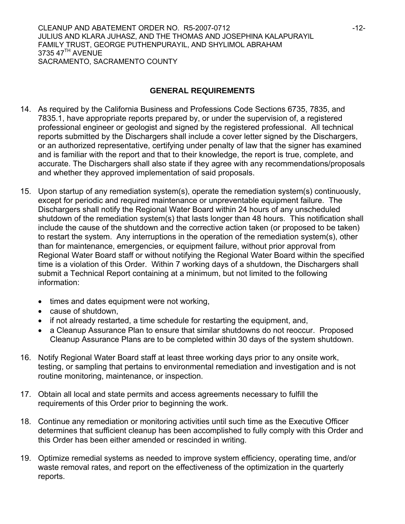CLEANUP AND ABATEMENT ORDER NO. R5-2007-0712 **12-12-12-12-12-12-12-12-12-12** JULIUS AND KLARA JUHASZ, AND THE THOMAS AND JOSEPHINA KALAPURAYIL FAMILY TRUST, GEORGE PUTHENPURAYIL, AND SHYLIMOL ABRAHAM 3735 47<sup>TH</sup> AVENUE SACRAMENTO, SACRAMENTO COUNTY

### **GENERAL REQUIREMENTS**

- 14. As required by the California Business and Professions Code Sections 6735, 7835, and 7835.1, have appropriate reports prepared by, or under the supervision of, a registered professional engineer or geologist and signed by the registered professional. All technical reports submitted by the Dischargers shall include a cover letter signed by the Dischargers, or an authorized representative, certifying under penalty of law that the signer has examined and is familiar with the report and that to their knowledge, the report is true, complete, and accurate. The Dischargers shall also state if they agree with any recommendations/proposals and whether they approved implementation of said proposals.
- 15. Upon startup of any remediation system(s), operate the remediation system(s) continuously, except for periodic and required maintenance or unpreventable equipment failure. The Dischargers shall notify the Regional Water Board within 24 hours of any unscheduled shutdown of the remediation system(s) that lasts longer than 48 hours. This notification shall include the cause of the shutdown and the corrective action taken (or proposed to be taken) to restart the system. Any interruptions in the operation of the remediation system(s), other than for maintenance, emergencies, or equipment failure, without prior approval from Regional Water Board staff or without notifying the Regional Water Board within the specified time is a violation of this Order. Within 7 working days of a shutdown, the Dischargers shall submit a Technical Report containing at a minimum, but not limited to the following information:
	- times and dates equipment were not working,
	- cause of shutdown,
	- if not already restarted, a time schedule for restarting the equipment, and,
	- a Cleanup Assurance Plan to ensure that similar shutdowns do not reoccur. Proposed Cleanup Assurance Plans are to be completed within 30 days of the system shutdown.
- 16. Notify Regional Water Board staff at least three working days prior to any onsite work, testing, or sampling that pertains to environmental remediation and investigation and is not routine monitoring, maintenance, or inspection.
- 17. Obtain all local and state permits and access agreements necessary to fulfill the requirements of this Order prior to beginning the work.
- 18. Continue any remediation or monitoring activities until such time as the Executive Officer determines that sufficient cleanup has been accomplished to fully comply with this Order and this Order has been either amended or rescinded in writing.
- 19. Optimize remedial systems as needed to improve system efficiency, operating time, and/or waste removal rates, and report on the effectiveness of the optimization in the quarterly reports.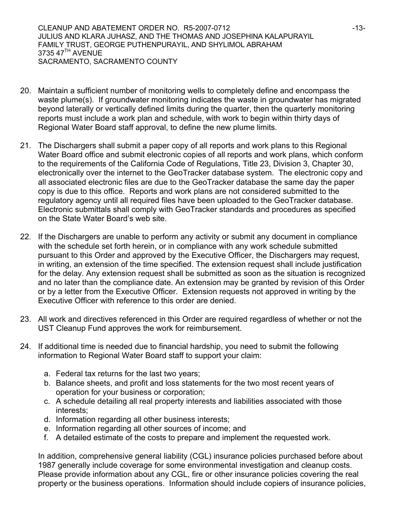CLEANUP AND ABATEMENT ORDER NO. R5-2007-0712 **Alternative Struck 19-13-13-13-13-1** JULIUS AND KLARA JUHASZ, AND THE THOMAS AND JOSEPHINA KALAPURAYIL FAMILY TRUST, GEORGE PUTHENPURAYIL, AND SHYLIMOL ABRAHAM 3735 47<sup>TH</sup> AVENUE SACRAMENTO, SACRAMENTO COUNTY

- 20. Maintain a sufficient number of monitoring wells to completely define and encompass the waste plume(s). If groundwater monitoring indicates the waste in groundwater has migrated beyond laterally or vertically defined limits during the quarter, then the quarterly monitoring reports must include a work plan and schedule, with work to begin within thirty days of Regional Water Board staff approval, to define the new plume limits.
- 21. The Dischargers shall submit a paper copy of all reports and work plans to this Regional Water Board office and submit electronic copies of all reports and work plans, which conform to the requirements of the California Code of Regulations, Title 23, Division 3, Chapter 30, electronically over the internet to the GeoTracker database system. The electronic copy and all associated electronic files are due to the GeoTracker database the same day the paper copy is due to this office. Reports and work plans are not considered submitted to the regulatory agency until all required files have been uploaded to the GeoTracker database. Electronic submittals shall comply with GeoTracker standards and procedures as specified on the State Water Board's web site.
- 22. If the Dischargers are unable to perform any activity or submit any document in compliance with the schedule set forth herein, or in compliance with any work schedule submitted pursuant to this Order and approved by the Executive Officer, the Dischargers may request, in writing, an extension of the time specified. The extension request shall include justification for the delay. Any extension request shall be submitted as soon as the situation is recognized and no later than the compliance date. An extension may be granted by revision of this Order or by a letter from the Executive Officer. Extension requests not approved in writing by the Executive Officer with reference to this order are denied.
- 23. All work and directives referenced in this Order are required regardless of whether or not the UST Cleanup Fund approves the work for reimbursement.
- 24. If additional time is needed due to financial hardship, you need to submit the following information to Regional Water Board staff to support your claim:
	- a. Federal tax returns for the last two years;
	- b. Balance sheets, and profit and loss statements for the two most recent years of operation for your business or corporation;
	- c. A schedule detailing all real property interests and liabilities associated with those interests;
	- d. Information regarding all other business interests;
	- e. Information regarding all other sources of income; and
	- f. A detailed estimate of the costs to prepare and implement the requested work.

In addition, comprehensive general liability (CGL) insurance policies purchased before about 1987 generally include coverage for some environmental investigation and cleanup costs. Please provide information about any CGL, fire or other insurance policies covering the real property or the business operations. Information should include copiers of insurance policies,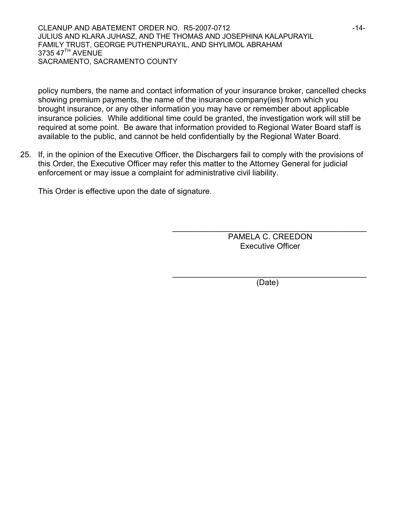CLEANUP AND ABATEMENT ORDER NO. R5-2007-0712 **ACCLEANUP AND ABATEMENT** ORDER NO. R5-2007-0712 JULIUS AND KLARA JUHASZ, AND THE THOMAS AND JOSEPHINA KALAPURAYIL FAMILY TRUST, GEORGE PUTHENPURAYIL, AND SHYLIMOL ABRAHAM 3735 47<sup>TH</sup> AVENUE SACRAMENTO, SACRAMENTO COUNTY

policy numbers, the name and contact information of your insurance broker, cancelled checks showing premium payments, the name of the insurance company(ies) from which you brought insurance, or any other information you may have or remember about applicable insurance policies. While additional time could be granted, the investigation work will still be required at some point. Be aware that information provided to Regional Water Board staff is available to the public, and cannot be held confidentially by the Regional Water Board.

25. If, in the opinion of the Executive Officer, the Dischargers fail to comply with the provisions of this Order, the Executive Officer may refer this matter to the Attorney General for judicial enforcement or may issue a complaint for administrative civil liability.

This Order is effective upon the date of signature.

PAMELA C. CREEDON Executive Officer

\_\_\_\_\_\_\_\_\_\_\_\_\_\_\_\_\_\_\_\_\_\_\_\_\_\_\_\_\_\_\_\_\_\_\_\_\_\_\_\_\_\_\_\_

\_\_\_\_\_\_\_\_\_\_\_\_\_\_\_\_\_\_\_\_\_\_\_\_\_\_\_\_\_\_\_\_\_\_\_\_\_\_\_\_\_\_\_\_ (Date)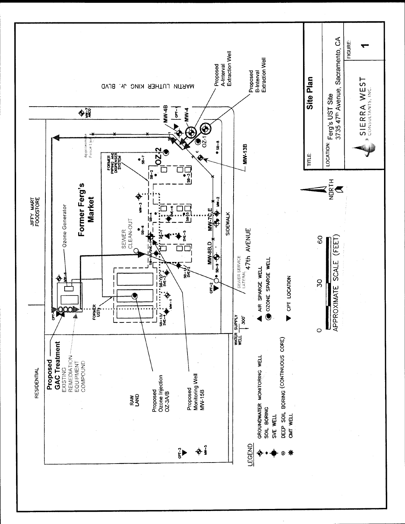